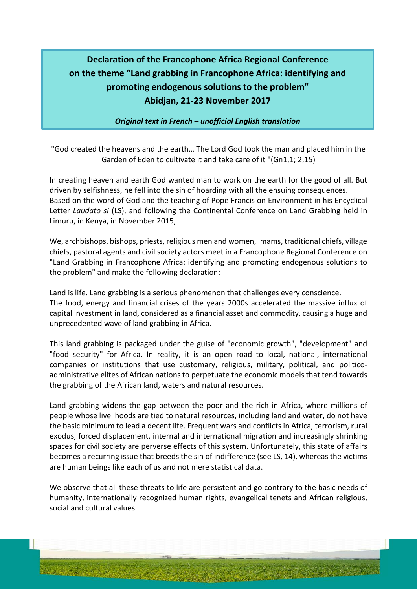## **Declaration of the Francophone Africa Regional Conference on the theme "Land grabbing in Francophone Africa: identifying and promoting endogenous solutions to the problem" Abidjan, 21-23 November 2017**

*Original text in French – unofficial English translation*

"God created the heavens and the earth… The Lord God took the man and placed him in the Garden of Eden to cultivate it and take care of it "(Gn1,1; 2,15)

In creating heaven and earth God wanted man to work on the earth for the good of all. But driven by selfishness, he fell into the sin of hoarding with all the ensuing consequences. Based on the word of God and the teaching of Pope Francis on Environment in his Encyclical Letter *Laudato si* (LS), and following the Continental Conference on Land Grabbing held in Limuru, in Kenya, in November 2015,

We, archbishops, bishops, priests, religious men and women, Imams, traditional chiefs, village chiefs, pastoral agents and civil society actors meet in a Francophone Regional Conference on "Land Grabbing in Francophone Africa: identifying and promoting endogenous solutions to the problem" and make the following declaration:

Land is life. Land grabbing is a serious phenomenon that challenges every conscience. The food, energy and financial crises of the years 2000s accelerated the massive influx of capital investment in land, considered as a financial asset and commodity, causing a huge and unprecedented wave of land grabbing in Africa.

This land grabbing is packaged under the guise of "economic growth", "development" and "food security" for Africa. In reality, it is an open road to local, national, international companies or institutions that use customary, religious, military, political, and politicoadministrative elites of African nations to perpetuate the economic models that tend towards the grabbing of the African land, waters and natural resources.

Land grabbing widens the gap between the poor and the rich in Africa, where millions of people whose livelihoods are tied to natural resources, including land and water, do not have the basic minimum to lead a decent life. Frequent wars and conflicts in Africa, terrorism, rural exodus, forced displacement, internal and international migration and increasingly shrinking spaces for civil society are perverse effects of this system. Unfortunately, this state of affairs becomes a recurring issue that breeds the sin of indifference (see LS, 14), whereas the victims are human beings like each of us and not mere statistical data.

We observe that all these threats to life are persistent and go contrary to the basic needs of humanity, internationally recognized human rights, evangelical tenets and African religious, social and cultural values.

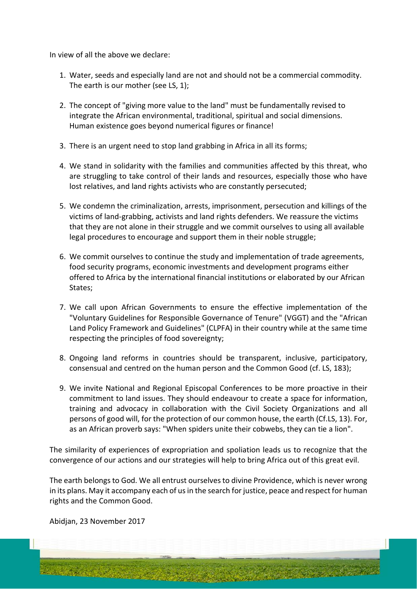In view of all the above we declare:

- 1. Water, seeds and especially land are not and should not be a commercial commodity. The earth is our mother (see LS, 1);
- 2. The concept of "giving more value to the land" must be fundamentally revised to integrate the African environmental, traditional, spiritual and social dimensions. Human existence goes beyond numerical figures or finance!
- 3. There is an urgent need to stop land grabbing in Africa in all its forms;
- 4. We stand in solidarity with the families and communities affected by this threat, who are struggling to take control of their lands and resources, especially those who have lost relatives, and land rights activists who are constantly persecuted;
- 5. We condemn the criminalization, arrests, imprisonment, persecution and killings of the victims of land-grabbing, activists and land rights defenders. We reassure the victims that they are not alone in their struggle and we commit ourselves to using all available legal procedures to encourage and support them in their noble struggle;
- 6. We commit ourselves to continue the study and implementation of trade agreements, food security programs, economic investments and development programs either offered to Africa by the international financial institutions or elaborated by our African States;
- 7. We call upon African Governments to ensure the effective implementation of the "Voluntary Guidelines for Responsible Governance of Tenure" (VGGT) and the "African Land Policy Framework and Guidelines" (CLPFA) in their country while at the same time respecting the principles of food sovereignty;
- 8. Ongoing land reforms in countries should be transparent, inclusive, participatory, consensual and centred on the human person and the Common Good (cf. LS, 183);
- 9. We invite National and Regional Episcopal Conferences to be more proactive in their commitment to land issues. They should endeavour to create a space for information, training and advocacy in collaboration with the Civil Society Organizations and all persons of good will, for the protection of our common house, the earth (Cf.LS, 13). For, as an African proverb says: "When spiders unite their cobwebs, they can tie a lion".

The similarity of experiences of expropriation and spoliation leads us to recognize that the convergence of our actions and our strategies will help to bring Africa out of this great evil.

The earth belongs to God. We all entrust ourselves to divine Providence, which is never wrong in its plans. May it accompany each of us in the search for justice, peace and respect for human rights and the Common Good.

Abidjan, 23 November 2017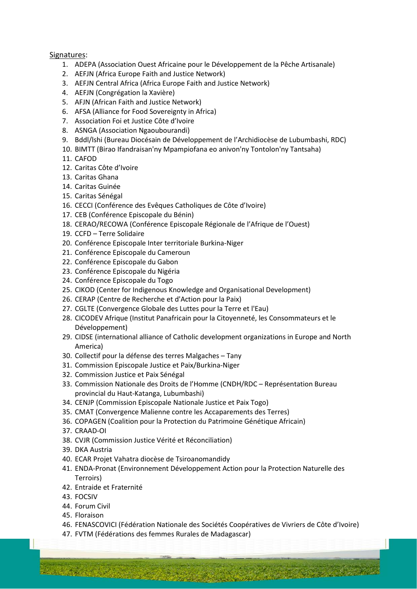## Signatures:

- 1. ADEPA (Association Ouest Africaine pour le Développement de la Pêche Artisanale)
- 2. AEFJN (Africa Europe Faith and Justice Network)
- 3. AEFJN Central Africa (Africa Europe Faith and Justice Network)
- 4. AEFJN (Congrégation la Xavière)
- 5. AFJN (African Faith and Justice Network)
- 6. AFSA (Alliance for Food Sovereignty in Africa)
- 7. Association Foi et Justice Côte d'Ivoire
- 8. ASNGA (Association Ngaoubourandi)
- 9. Bddl/lshi (Bureau Diocésain de Développement de l'Archidiocèse de Lubumbashi, RDC)
- 10. BIMTT (Birao Ifandraisan'ny Mpampiofana eo anivon'ny Tontolon'ny Tantsaha)
- 11. CAFOD
- 12. Caritas Côte d'Ivoire
- 13. Caritas Ghana
- 14. Caritas Guinée
- 15. Caritas Sénégal
- 16. CECCI (Conférence des Evêques Catholiques de Côte d'Ivoire)
- 17. CEB (Conférence Episcopale du Bénin)
- 18. CERAO/RECOWA (Conférence Episcopale Régionale de l'Afrique de l'Ouest)
- 19. CCFD Terre Solidaire
- 20. Conférence Episcopale Inter territoriale Burkina-Niger
- 21. Conférence Episcopale du Cameroun
- 22. Conférence Episcopale du Gabon
- 23. Conférence Episcopale du Nigéria
- 24. Conférence Episcopale du Togo
- 25. CIKOD (Center for Indigenous Knowledge and Organisational Development)
- 26. CERAP (Centre de Recherche et d'Action pour la Paix)
- 27. CGLTE (Convergence Globale des Luttes pour la Terre et l'Eau)
- 28. CICODEV Afrique (Institut Panafricain pour la Citoyenneté, les Consommateurs et le Développement)
- 29. CIDSE (international alliance of Catholic development organizations in Europe and North America)
- 30. Collectif pour la défense des terres Malgaches Tany
- 31. Commission Episcopale Justice et Paix/Burkina-Niger
- 32. Commission Justice et Paix Sénégal
- 33. Commission Nationale des Droits de l'Homme (CNDH/RDC Représentation Bureau provincial du Haut-Katanga, Lubumbashi)
- 34. CENJP (Commission Episcopale Nationale Justice et Paix Togo)
- 35. CMAT (Convergence Malienne contre les Accaparements des Terres)
- 36. COPAGEN (Coalition pour la Protection du Patrimoine Génétique Africain)
- 37. CRAAD-OI
- 38. CVJR (Commission Justice Vérité et Réconciliation)
- 39. DKA Austria
- 40. ECAR Projet Vahatra diocèse de Tsiroanomandidy
- 41. ENDA-Pronat (Environnement Développement Action pour la Protection Naturelle des Terroirs)
- 42. Entraide et Fraternité

A COOL PART

- 43. FOCSIV
- 44. Forum Civil
- 45. Floraison
- 46. FENASCOVICI (Fédération Nationale des Sociétés Coopératives de Vivriers de Côte d'Ivoire)

**WAY ASSES** 

47. FVTM (Fédérations des femmes Rurales de Madagascar)